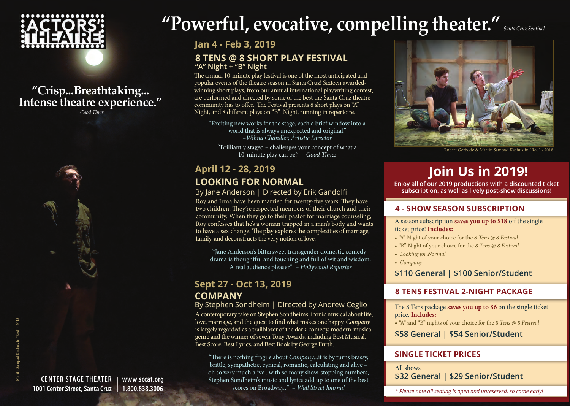

# **"Crisp...Breathtaking... Intense theatre experience."**

*– Good Times*



# **"Powerful, evocative, compelling theater."***– Santa Cruz Sentinel*

**Jan 4 - Feb 3, 2019**

# **8 TENS @ 8 Short Play Festival "A" Night + "B" Night**

The annual 10-minute play festival is one of the most anticipated and popular events of the theatre season in Santa Cruz! Sixteen awardedwinning short plays, from our annual international playwriting contest, are performed and directed by some of the best the Santa Cruz theatre community has to offer. The Festival presents 8 short plays on "A" Night, and 8 different plays on "B" Night, running in repertoire.

"Exciting new works for the stage, each a brief window into a world that is always unexpected and original." *–Wilma Chandler, Artistic Director* 

"Brilliantly staged – challenges your concept of what a 10-minute play can be." *– Good Times*

# **Looking For Normal April 12 - 28, 2019 Join Us in 2019!**

## By Jane Anderson | Directed by Erik Gandolfi

Roy and Irma have been married for twenty-five years. They have two children. They're respected members of their church and their community. When they go to their pastor for marriage counseling, Roy confesses that he's a woman trapped in a man's body and wants to have a sex change. The play explores the complexities of marriage, family, and deconstructs the very notion of love.

"Jane Anderson's bittersweet transgender domestic comedydrama is thoughtful and touching and full of wit and wisdom. A real audience pleaser." – *Hollywood Reporter*

# **Company Sept 27 - Oct 13, 2019**

By Stephen Sondheim | Directed by Andrew Ceglio A contemporary take on Stephen Sondheim's iconic musical about life, love, marriage, and the quest to find what makes one happy. *Company* is largely regarded as a trailblazer of the dark-comedy, modern-musical genre and the winner of seven Tony Awards, including Best Musical, Best Score, Best Lyrics, and Best Book by George Furth.

"There is nothing fragile about *Company*...it is by turns brassy, brittle, sympathetic, cynical, romantic, calculating and alive – oh so very much alive...with so many show-stopping numbers, Stephen Sondheim's music and lyrics add up to one of the best scores on Broadway..." – *Wall Street Journal*



Robert Gerbode & Martin Sampad Kachuk in "Red" - 2018

**Enjoy all of our 2019 productions with a discounted ticket subscription, as well as lively post-show discussions!**

# **4 - Show season Subscription**

A season subscription **saves you up to \$18** off the single ticket price! **Includes:**

- "A" Night of your choice for the *8 Tens @ 8 Festival*
- "B" Night of your choice for the *8 Tens @ 8 Festival*
- *Looking for Normal*
- *Company*

**\$110 General | \$100 Senior/Student**

# **8 TENS FeSTIVAL 2-Night Package**

The 8 Tens package **saves you up to \$6** on the single ticket price. **Includes:**

• "A" and "B" nights of your choice for the *8 Tens @ 8 Festival*

**\$58 General | \$54 Senior/Student**

# **Single ticket Prices**

All shows **\$32 General | \$29 Senior/Student**